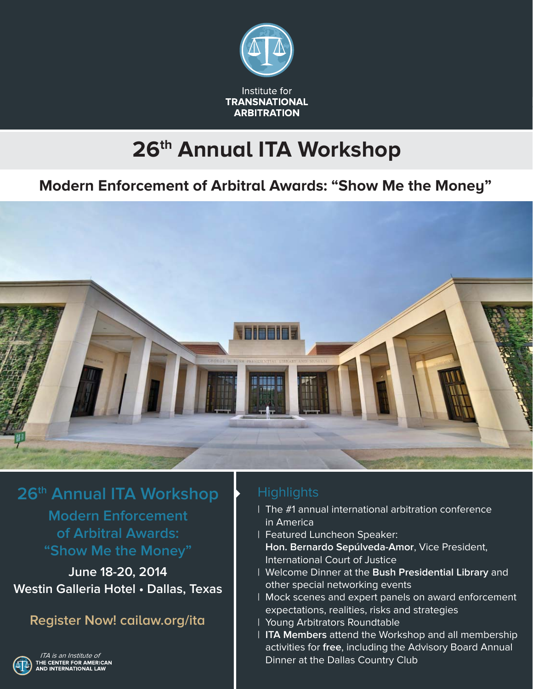

# **26th Annual ITA Workshop**

## **Modern Enforcement of Arbitral Awards: "Show Me the Money"**



**26th Annual ITA Workshop Modern Enforcement of Arbitral Awards: "Show Me the Money"**

**June 18-20, 2014 Westin Galleria Hotel • Dallas, Texas**

**Register Now! cailaw.org/ita**



ITA is an Institute ofHE CENTER FOR AMERICAN<br>ND INTERNATIONAL LAW

### **Highlights**

- | The #1 annual international arbitration conference in America
- | Featured Luncheon Speaker:
	- **Hon. Bernardo Sepúlveda-Amor**, Vice President, International Court of Justice
- | Welcome Dinner at the **Bush Presidential Library** and other special networking events
- | Mock scenes and expert panels on award enforcement expectations, realities, risks and strategies
- | Young Arbitrators Roundtable
- | **ITA Members** attend the Workshop and all membership activities for **free**, including the Advisory Board Annual Dinner at the Dallas Country Club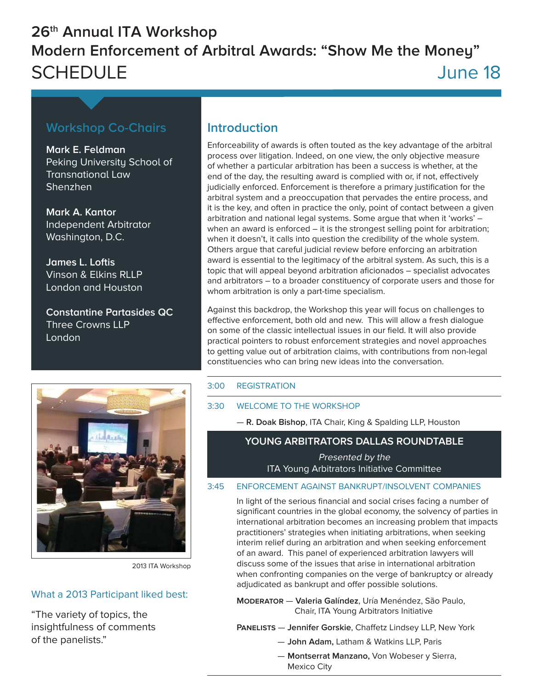## **26th Annual ITA Workshop Modern Enforcement of Arbitral Awards: "Show Me the Money"** SCHEDULE June 18

### **Workshop Co-Chairs**

**Mark E. Feldman** Peking University School of Transnational Law Shenzhen

**Mark A. Kantor** Independent Arbitrator Washington, D.C.

**James L. Loftis** Vinson & Fikins RLLP London and Houston

**Constantine Partasides QC** Three Crowns LLP London

### **Introduction**

Enforceability of awards is often touted as the key advantage of the arbitral process over litigation. Indeed, on one view, the only objective measure of whether a particular arbitration has been a success is whether, at the end of the day, the resulting award is complied with or, if not, effectively judicially enforced. Enforcement is therefore a primary justification for the arbitral system and a preoccupation that pervades the entire process, and it is the key, and often in practice the only, point of contact between a given arbitration and national legal systems. Some argue that when it 'works' – when an award is enforced – it is the strongest selling point for arbitration; when it doesn't, it calls into question the credibility of the whole system. Others argue that careful judicial review before enforcing an arbitration award is essential to the legitimacy of the arbitral system. As such, this is a topic that will appeal beyond arbitration aficionados – specialist advocates and arbitrators – to a broader constituency of corporate users and those for whom arbitration is only a part-time specialism.

Against this backdrop, the Workshop this year will focus on challenges to effective enforcement, both old and new. This will allow a fresh dialogue on some of the classic intellectual issues in our field. It will also provide practical pointers to robust enforcement strategies and novel approaches to getting value out of arbitration claims, with contributions from non-legal constituencies who can bring new ideas into the conversation.



2013 ITA Workshop

### What a 2013 Participant liked best:

"The variety of topics, the insightfulness of comments of the panelists."

### 3:00 REGISTRATION

### 3:30 WELCOME TO THE WORKSHOP

— **R. Doak Bishop**, ITA Chair, King & Spalding LLP, Houston

### **YOUNG ARBITRATORS DALLAS ROUNDTABLE**

Presented by the ITA Young Arbitrators Initiative Committee

#### 3:45 ENFORCEMENT AGAINST BANKRUPT/INSOLVENT COMPANIES

In light of the serious financial and social crises facing a number of significant countries in the global economy, the solvency of parties in international arbitration becomes an increasing problem that impacts practitioners' strategies when initiating arbitrations, when seeking interim relief during an arbitration and when seeking enforcement of an award. This panel of experienced arbitration lawyers will discuss some of the issues that arise in international arbitration when confronting companies on the verge of bankruptcy or already adjudicated as bankrupt and offer possible solutions.

**Moderator** — **Valeria Galíndez**, Uría Menéndez, São Paulo, Chair, ITA Young Arbitrators Initiative

**PANELISTS** — **Jennifer Gorskie**, Chaffetz Lindsey LLP, New York

- **John Adam,** Latham & Watkins LLP, Paris
- **Montserrat Manzano,** Von Wobeser y Sierra, Mexico City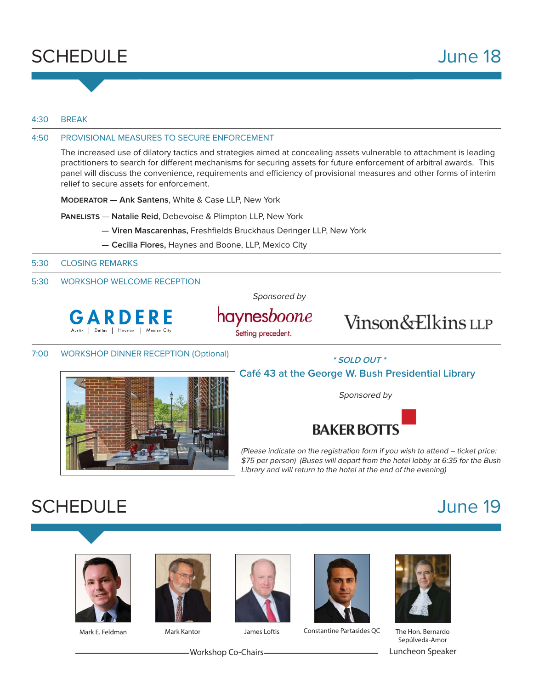

#### 4:30 BREAK

#### 4:50 PROVISIONAL MEASURES TO SECURE ENFORCEMENT

The increased use of dilatory tactics and strategies aimed at concealing assets vulnerable to attachment is leading practitioners to search for different mechanisms for securing assets for future enforcement of arbitral awards. This panel will discuss the convenience, requirements and efficiency of provisional measures and other forms of interim relief to secure assets for enforcement.

**Moderator** — **Ank Santens**, White & Case LLP, New York

**Panelists** — **Natalie Reid**, Debevoise & Plimpton LLP, New York

- $-$  Viren Mascarenhas, Freshfields Bruckhaus Deringer LLP, New York
- **Cecilia Flores,** Haynes and Boone, LLP, Mexico City

5:30 CLOSING REMARKS

#### 5:30 WORKSHOP WELCOME RECEPTION

Sponsored by



haynesboone Setting precedent.

Vinson&Elkins LLP

7:00 WORKSHOP DINNER RECEPTION (Optional)



**\* SOLD OUT \***

### **Café 43 at the George W. Bush Presidential Library**

Sponsored by



(Please indicate on the registration form if you wish to attend – ticket price: \$75 per person) (Buses will depart from the hotel lobby at 6:35 for the Bush Library and will return to the hotel at the end of the evening)

# SCHEDULE June 19









Mark E. Feldman **Mark Kantor** James Loftis Constantine Partasides QC The Hon. Bernardo



Sepúlveda-Amor Workshop Co-Chairs Luncheon Speaker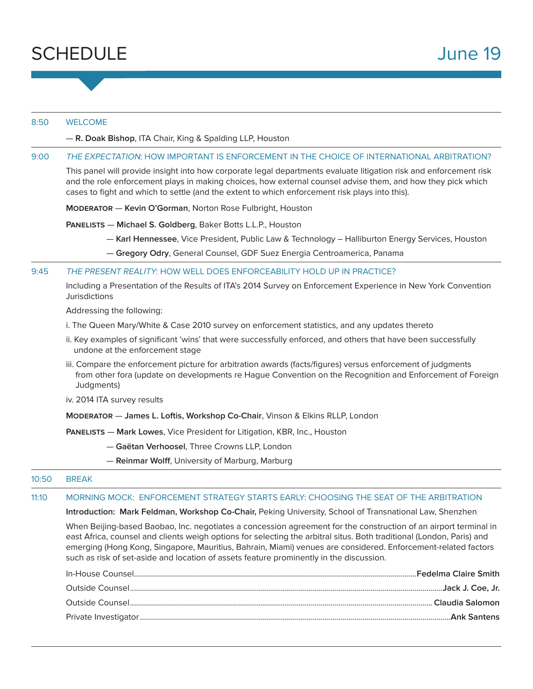

#### 8:50 WELCOME

— **R. Doak Bishop**, ITA Chair, King & Spalding LLP, Houston

#### 9:00 THE EXPECTATION: HOW IMPORTANT IS ENFORCEMENT IN THE CHOICE OF INTERNATIONAL ARBITRATION?

This panel will provide insight into how corporate legal departments evaluate litigation risk and enforcement risk and the role enforcement plays in making choices, how external counsel advise them, and how they pick which cases to fight and which to settle (and the extent to which enforcement risk plays into this).

**Moderator** — **Kevin O'Gorman**, Norton Rose Fulbright, Houston

**Panelists** — **Michael S. Goldberg**, Baker Botts L.L.P., Houston

- **Karl Hennessee**, Vice President, Public Law & Technology Halliburton Energy Services, Houston
- **Gregory Odry**, General Counsel, GDF Suez Energia Centroamerica, Panama

#### 9:45 THE PRESENT REALITY: HOW WELL DOES ENFORCEABILITY HOLD UP IN PRACTICE?

Including a Presentation of the Results of ITA's 2014 Survey on Enforcement Experience in New York Convention **Jurisdictions** 

Addressing the following:

- i. The Queen Mary/White & Case 2010 survey on enforcement statistics, and any updates thereto
- ii. Key examples of significant 'wins' that were successfully enforced, and others that have been successfully undone at the enforcement stage
- iii. Compare the enforcement picture for arbitration awards (facts/figures) versus enforcement of judgments from other fora (update on developments re Hague Convention on the Recognition and Enforcement of Foreign Judgments)
- iv. 2014 ITA survey results

**Moderator** — **James L. Loftis, Workshop Co-Chair**, Vinson & Elkins RLLP, London

**Panelists** — **Mark Lowes**, Vice President for Litigation, KBR, Inc., Houston

— **Gaëtan Verhoosel**, Three Crowns LLP, London

— **Reinmar Wolff**, University of Marburg, Marburg

#### 10:50 BREAK

#### 11:10 MORNING MOCK: ENFORCEMENT STRATEGY STARTS EARLY: CHOOSING THE SEAT OF THE ARBITRATION

**Introduction: Mark Feldman, Workshop Co-Chair,** Peking University, School of Transnational Law, Shenzhen

When Beijing-based Baobao, Inc. negotiates a concession agreement for the construction of an airport terminal in east Africa, counsel and clients weigh options for selecting the arbitral situs. Both traditional (London, Paris) and emerging (Hong Kong, Singapore, Mauritius, Bahrain, Miami) venues are considered. Enforcement-related factors such as risk of set-aside and location of assets feature prominently in the discussion.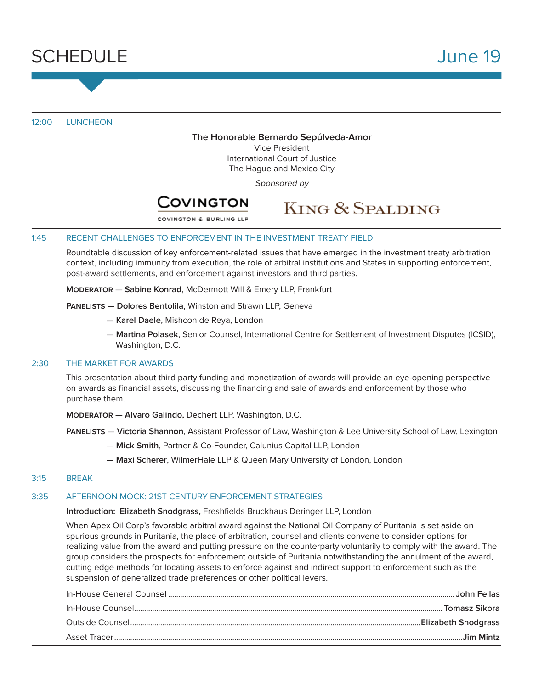

12:00 LUNCHEON

#### **The Honorable Bernardo Sepúlveda-Amor**

Vice President International Court of Justice The Hague and Mexico City

Sponsored by



## **KING & SPALDING**

COVINGTON & BURLING LLE

#### 1:45 RECENT CHALLENGES TO ENFORCEMENT IN THE INVESTMENT TREATY FIELD

Roundtable discussion of key enforcement-related issues that have emerged in the investment treaty arbitration context, including immunity from execution, the role of arbitral institutions and States in supporting enforcement, post-award settlements, and enforcement against investors and third parties.

**Moderator** — **Sabine Konrad**, McDermott Will & Emery LLP, Frankfurt

**Panelists** — **Dolores Bentolila**, Winston and Strawn LLP, Geneva

- **Karel Daele**, Mishcon de Reya, London
- **Martina Polasek**, Senior Counsel, International Centre for Settlement of Investment Disputes (ICSID), Washington, D.C.

#### 2:30 THE MARKET FOR AWARDS

This presentation about third party funding and monetization of awards will provide an eye-opening perspective on awards as financial assets, discussing the financing and sale of awards and enforcement by those who purchase them.

**Moderator** — **Alvaro Galindo,** Dechert LLP, Washington, D.C.

**Panelists** — **Victoria Shannon**, Assistant Professor of Law, Washington & Lee University School of Law, Lexington

- **Mick Smith**, Partner & Co-Founder, Calunius Capital LLP, London
- **Maxi Scherer**, WilmerHale LLP & Queen Mary University of London, London

#### 3:15 BREAK

#### 3:35 AFTERNOON MOCK: 21ST CENTURY ENFORCEMENT STRATEGIES

#### **Introduction: Elizabeth Snodgrass, Freshfields Bruckhaus Deringer LLP, London**

When Apex Oil Corp's favorable arbitral award against the National Oil Company of Puritania is set aside on spurious grounds in Puritania, the place of arbitration, counsel and clients convene to consider options for realizing value from the award and putting pressure on the counterparty voluntarily to comply with the award. The group considers the prospects for enforcement outside of Puritania notwithstanding the annulment of the award, cutting edge methods for locating assets to enforce against and indirect support to enforcement such as the suspension of generalized trade preferences or other political levers.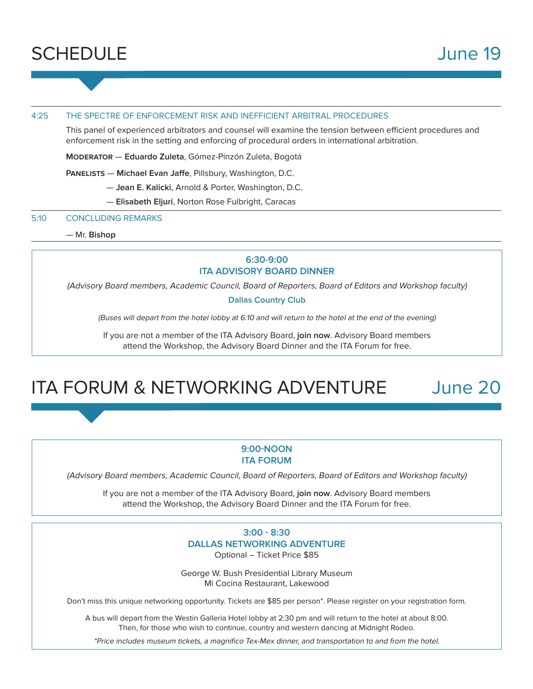

#### 4:25 THE SPECTRE OF ENFORCEMENT RISK AND INEFFICIENT ARBITRAL PROCEDURES

This panel of experienced arbitrators and counsel will examine the tension between efficient procedures and enforcement risk in the setting and enforcing of procedural orders in international arbitration.

**Moderator** — **Eduardo Zuleta**, Gómez-Pinzón Zuleta, Bogotá

**PANELISTS** — **Michael Evan Jaffe**, Pillsbury, Washington, D.C.

— **Jean E. Kalicki**, Arnold & Porter, Washington, D.C.

— **Elisabeth Eljuri**, Norton Rose Fulbright, Caracas

#### 5:10 CONCLUDING REMARKS

— Mr. **Bishop**

#### **6:30-9:00 ITA ADVISORY BOARD DINNER**

(Advisory Board members, Academic Council, Board of Reporters, Board of Editors and Workshop faculty)

**Dallas Country Club**

(Buses will depart from the hotel lobby at 6:10 and will return to the hotel at the end of the evening)

If you are not a member of the ITA Advisory Board, **join now**. Advisory Board members attend the Workshop, the Advisory Board Dinner and the ITA Forum for free.

# ITA FORUM & NETWORKING ADVENTURE June 20

#### **9:00NOON ITA FORUM**

(Advisory Board members, Academic Council, Board of Reporters, Board of Editors and Workshop faculty)

If you are not a member of the ITA Advisory Board, **join now**. Advisory Board members attend the Workshop, the Advisory Board Dinner and the ITA Forum for free.

> **3:00 8:30 DALLAS NETWORKING ADVENTURE** Optional – Ticket Price \$85

George W. Bush Presidential Library Museum Mi Cocina Restaurant, Lakewood

Don't miss this unique networking opportunity. Tickets are \$85 per person\*. Please register on your registration form.

A bus will depart from the Westin Galleria Hotel lobby at 2:30 pm and will return to the hotel at about 8:00. Then, for those who wish to continue, country and western dancing at Midnight Rodeo.

\*Price includes museum tickets, a magnifico Tex-Mex dinner, and transportation to and from the hotel.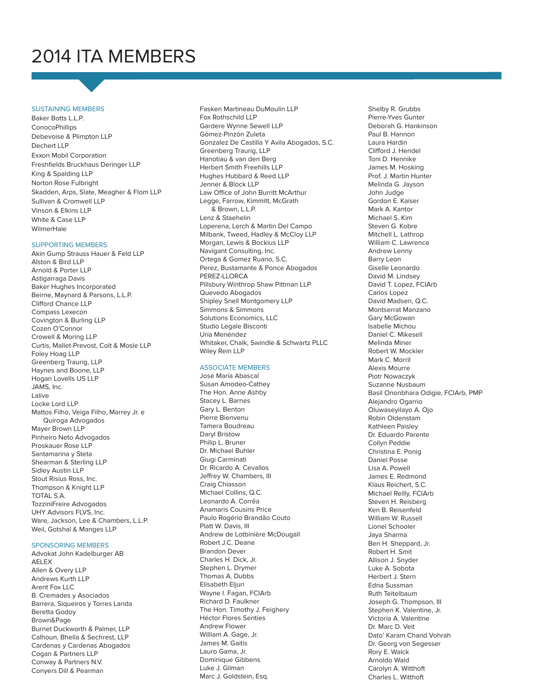# 2014 ITA MEMBERS

#### SUSTAINING MEMBERS

Baker Botts L.L.P. **ConocoPhillips** Debevoise & Plimpton LLP Dechert LLP Exxon Mobil Corporation Freshfields Bruckhaus Deringer LLP King & Spalding LLP Norton Rose Fulbright Skadden, Arps, Slate, Meagher & Flom LLP Sullivan & Cromwell LLP Vinson & Elkins LLP White & Case LLP WilmerHale

#### SUPPORTING MEMBERS

Akin Gump Strauss Hauer & Feld LLP Alston & Bird LLP Arnold & Porter LLP Astigarraga Davis Baker Hughes Incorporated Beirne, Maynard & Parsons, L.L.P. Clifford Chance LLP Compass Lexecon Covington & Burling LLP Cozen O'Connor Crowell & Moring LLP Curtis, Mallet-Prevost, Colt & Mosle LLP Foley Hoag LLP Greenberg Traurig, LLP Haynes and Boone, LLP Hogan Lovells US LLP JAMS, Inc. Lalive Locke Lord LLP Mattos Filho, Veiga Filho, Marrey Jr. e Quiroga Advogados Mayer Brown LLP Pinheiro Neto Advogados Proskauer Rose LLP Santamarina y Steta Shearman & Sterling LLP Sidley Austin LLP Stout Risius Ross, Inc. Thompson & Knight LLP TOTAL S.A. TozziniFreire Advogados UHY Advisors FLVS, Inc. Ware, Jackson, Lee & Chambers, L.L.P. Weil, Gotshal & Manges LLP

#### SPONSORING MEMBERS

Advokat John Kadelburger AB AELEX Allen & Overy LLP Andrews Kurth LLP Arent Fox LLC B. Cremades y Asociados Barrera, Siqueiros y Torres Landa Beretta Godoy Brown&Page Burnet Duckworth & Palmer, LLP Calhoun, Bhella & Sechrest, LLP Cardenas y Cardenas Abogados Cogan & Partners LLP Conway & Partners N.V. Conyers Dill & Pearman

Fasken Martineau DuMoulin LLP Fox Rothschild LLP Gardere Wynne Sewell LLP Gómez-Pinzón Zuleta Gonzalez De Castilla Y Avila Abogados, S.C. Greenberg Traurig, LLP Hanotiau & van den Berg Herbert Smith Freehills LLP Hughes Hubbard & Reed LLP Jenner & Block LLP Law Office of John Burritt McArthur Legge, Farrow, Kimmitt, McGrath & Brown, L.L.P. Lenz & Staehelin Loperena, Lerch & Martin Del Campo Milbank, Tweed, Hadley & McCloy LLP Morgan, Lewis & Bockius LLP Navigant Consulting, Inc. Ortega & Gomez Ruano, S.C. Perez, Bustamante & Ponce Abogados PEREZ-LLORCA Pillsbury Winthrop Shaw Pittman LLP Quevedo Abogados Shipley Snell Montgomery LLP Simmons & Simmons Solutions Economics, LLC Studio Legale Bisconti Uría Menéndez Whitaker, Chalk, Swindle & Schwartz PLLC Wiley Rein LLP

#### ASSOCIATE MEMBERS

José María Abascal Susan Amodeo-Cathey The Hon. Anne Ashby Stacey L. Barnes Gary L. Benton Pierre Bienvenu Tamera Boudreau Daryl Bristow Philip L. Bruner Dr. Michael Buhler Giugi Carminati Dr. Ricardo A. Cevallos Jeffrey W. Chambers, III Craig Chiasson Michael Collins, Q.C. Leonardo A. Corrêa Anamaris Cousins Price Paulo Rogério Brandão Couto Platt W. Davis, III Andrew de Lotbinière McDougall Robert J.C. Deane Brandon Dever Charles H. Dick, Jr. Stephen L. Drymer Thomas A. Dubbs Elisabeth Eljuri Wayne I. Fagan, FCIArb Richard D. Faulkner The Hon. Timothy J. Feighery Héctor Flores Sentíes Andrew Flower William A. Gage, Jr. James M. Gaitis Lauro Gama, Jr. Dominique Gibbens Luke J. Gilman Marc J. Goldstein, Esq.

Shelby R. Grubbs Pierre-Yves Gunter Deborah G. Hankinson Paul B. Hannon Laura Hardin Clifford J. Hendel Toni D. Hennike James M. Hosking Prof. J. Martin Hunter Melinda G. Jayson John Judge Gordon E. Kaiser Mark A. Kantor Michael S. Kim Steven G. Kobre Mitchell L. Lathrop William C. Lawrence Andrew Lenny Barry Leon Giselle Leonardo David M. Lindsey David T. Lopez, FCIArb Carlos Lopez David Madsen, Q.C. Montserrat Manzano Gary McGowan Isabelle Michou Daniel C. Mikesell Melinda Miner Robert W. Mockler Mark C. Morril Alexis Mourre Piotr Nowaczyk Suzanne Nusbaum Basil Ononbhara Odigie, FCIArb, PMP Alejandro Ogarrio Oluwaseyilayo A. Ojo Robin Oldenstam Kathleen Paisley Dr. Eduardo Parente Collyn Peddie Christina E. Ponig Daniel Posse Lisa A. Powell James E. Redmond Klaus Reichert, S.C. Michael Reilly, FCIArb Steven H. Reisberg Ken B. Reisenfeld William W. Russell Lionel Schooler Jaya Sharma Ben H. Sheppard, Jr. Robert H. Smit Allison J. Snyder Luke A. Sobota Herbert J. Stern Edna Sussman Ruth Teitelbaum Joseph G. Thompson, III Stephen K. Valentine, Jr. Victoria A. Valentine Dr. Marc D. Veit Dato' Karam Chand Vohrah Dr. Georg von Segesser Rory E. Walck Arnoldo Wald Carolyn A. Witthoft Charles L. Witthoft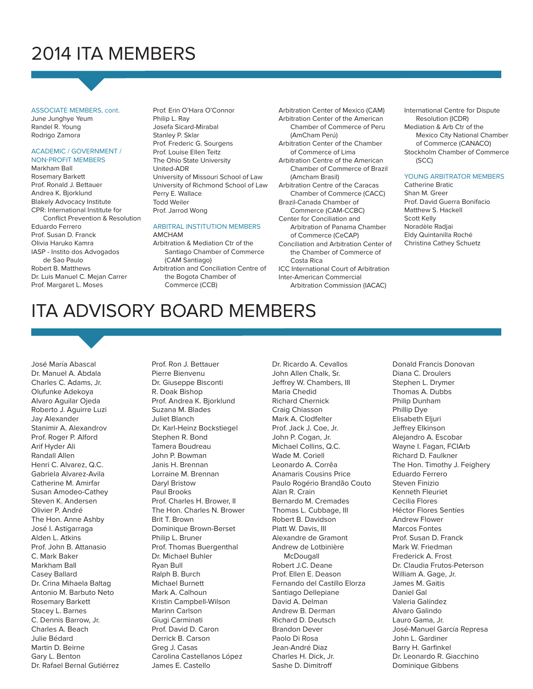# 2014 ITA MEMBERS

ASSOCIATE MEMBERS, cont. June Junghye Yeum Randel R. Young Rodrigo Zamora

#### ACADEMIC / GOVERNMENT / **NON-PROFIT MEMBERS**

Markham Ball Rosemary Barkett Prof. Ronald J. Bettauer Andrea K. Bjorklund Blakely Advocacy Institute CPR: International Institute for Conflict Prevention & Resolution Eduardo Ferrero Prof. Susan D. Franck Olivia Haruko Kamra IASP - Instito dos Advogados de Sao Paulo Robert B. Matthews Dr. Luis Manuel C. Mejan Carrer Prof. Margaret L. Moses

Prof. Erin O'Hara O'Connor Philip L. Ray Josefa Sicard-Mirabal Stanley P. Sklar Prof. Frederic G. Sourgens Prof. Louise Ellen Teitz The Ohio State University United-ADR University of Missouri School of Law University of Richmond School of Law Perry E. Wallace Todd Weiler Prof. Jarrod Wong

#### ARBITRAL INSTITUTION MEMBERS AMCHAM

Arbitration & Mediation Ctr of the Santiago Chamber of Commerce (CAM Santiago) Arbitration and Conciliation Centre of the Bogota Chamber of Commerce (CCB)

Arbitration Center of Mexico (CAM) Arbitration Center of the American Chamber of Commerce of Peru (AmCham Perú) Arbitration Center of the Chamber of Commerce of Lima Arbitration Centre of the American Chamber of Commerce of Brazil (Amcham Brasil) Arbitration Centre of the Caracas Chamber of Commerce (CACC) Brazil-Canada Chamber of Commerce (CAM-CCBC) Center for Conciliation and Arbitration of Panama Chamber of Commerce (CeCAP) Conciliation and Arbitration Center of the Chamber of Commerce of Costa Rica ICC International Court of Arbitration Inter-American Commercial Arbitration Commission (IACAC)

International Centre for Dispute Resolution (ICDR) Mediation & Arb Ctr of the Mexico City National Chamber of Commerce (CANACO) Stockholm Chamber of Commerce (SCC)

#### YOUNG ARBITRATOR MEMBERS

Catherine Bratic Shan M. Greer Prof. David Guerra Bonifacio Matthew S. Hackell Scott Kelly Noradèle Radjai Eldy Quintanilla Roché Christina Cathey Schuetz

# ITA ADVISORY BOARD MEMBERS

José María Abascal Dr. Manuel A. Abdala Charles C. Adams, Jr. Olufunke Adekoya Alvaro Aguilar Ojeda Roberto J. Aguirre Luzi Jay Alexander Stanimir A. Alexandrov Prof. Roger P. Alford Arif Hyder Ali Randall Allen Henri C. Alvarez, Q.C. Gabriela Alvarez-Avila Catherine M. Amirfar Susan Amodeo-Cathey Steven K. Andersen Olivier P. André The Hon. Anne Ashby José I. Astigarraga Alden L. Atkins Prof. John B. Attanasio C. Mark Baker Markham Ball Casey Ballard Dr. Crina Mihaela Baltag Antonio M. Barbuto Neto Rosemary Barkett Stacey L. Barnes C. Dennis Barrow, Jr. Charles A. Beach Julie Bédard Martin D. Beirne Gary L. Benton Dr. Rafael Bernal Gutiérrez

Prof. Ron J. Bettauer Pierre Bienvenu Dr. Giuseppe Bisconti R. Doak Bishop Prof. Andrea K. Bjorklund Suzana M. Blades Juliet Blanch Dr. Karl-Heinz Bockstiegel Stephen R. Bond Tamera Boudreau John P. Bowman Janis H. Brennan Lorraine M. Brennan Daryl Bristow Paul Brooks Prof. Charles H. Brower, II The Hon. Charles N. Brower Brit T. Brown Dominique Brown-Berset Philip L. Bruner Prof. Thomas Buergenthal Dr. Michael Buhler Ryan Bull Ralph B. Burch Michael Burnett Mark A. Calhoun Kristin Campbell-Wilson Marinn Carlson Giugi Carminati Prof. David D. Caron Derrick B. Carson Greg J. Casas Carolina Castellanos López James E. Castello

Dr. Ricardo A. Cevallos John Allen Chalk, Sr. Jeffrey W. Chambers, III Maria Chedid Richard Chernick Craig Chiasson Mark A. Clodfelter Prof. Jack J. Coe, Jr. John P. Cogan, Jr. Michael Collins, Q.C. Wade M. Coriell Leonardo A. Corrêa Anamaris Cousins Price Paulo Rogério Brandão Couto Alan R. Crain Bernardo M. Cremades Thomas L. Cubbage, III Robert B. Davidson Platt W. Davis, III Alexandre de Gramont Andrew de Lotbinière **McDougall** Robert J.C. Deane Prof. Ellen E. Deason Fernando del Castillo Elorza Santiago Dellepiane David A. Delman Andrew B. Derman Richard D. Deutsch Brandon Dever Paolo Di Rosa Jean-André Diaz Charles H. Dick, Jr. Sashe D. Dimitroff

Donald Francis Donovan Diana C. Droulers Stephen L. Drymer Thomas A. Dubbs Philip Dunham Phillip Dye Elisabeth Eljuri Jeffrey Elkinson Alejandro A. Escobar Wayne I. Fagan, FCIArb Richard D. Faulkner The Hon. Timothy J. Feighery Eduardo Ferrero Steven Finizio Kenneth Fleuriet Cecilia Flores Héctor Flores Sentíes Andrew Flower Marcos Fontes Prof. Susan D. Franck Mark W. Friedman Frederick A. Frost Dr. Claudia Frutos-Peterson William A. Gage, Jr. James M. Gaitis Daniel Gal Valeria Galíndez Alvaro Galindo Lauro Gama, Jr. José-Manuel García Represa John L. Gardiner Barry H. Garfinkel Dr. Leonardo R. Giacchino Dominique Gibbens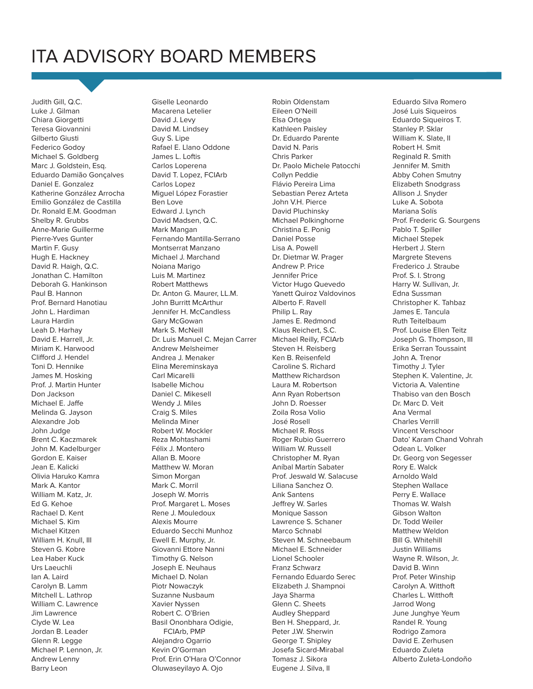# ITA ADVISORY BOARD MEMBERS

Judith Gill, Q.C. Luke J. Gilman Chiara Giorgetti Teresa Giovannini Gilberto Giusti Federico Godoy Michael S. Goldberg Marc J. Goldstein, Esq. Eduardo Damião Gonçalves Daniel E. Gonzalez Katherine González Arrocha Emilio González de Castilla Dr. Ronald E.M. Goodman Shelby R. Grubbs Anne-Marie Guillerme Pierre-Yves Gunter Martin F. Gusy Hugh E. Hackney David R. Haigh, Q.C. Jonathan C. Hamilton Deborah G. Hankinson Paul B. Hannon Prof. Bernard Hanotiau John L. Hardiman Laura Hardin Leah D. Harhay David E. Harrell, Jr. Miriam K. Harwood Clifford J. Hendel Toni D. Hennike James M. Hosking Prof. J. Martin Hunter Don Jackson Michael E. Jaffe Melinda G. Jayson Alexandre Job John Judge Brent C. Kaczmarek John M. Kadelburger Gordon E. Kaiser Jean E. Kalicki Olivia Haruko Kamra Mark A. Kantor William M. Katz, Jr. Ed G. Kehoe Rachael D. Kent Michael S. Kim Michael Kitzen William H. Knull, III Steven G. Kobre Lea Haber Kuck Urs Laeuchli Ian A. Laird Carolyn B. Lamm Mitchell L. Lathrop William C. Lawrence Jim Lawrence Clyde W. Lea Jordan B. Leader Glenn R. Legge Michael P. Lennon, Jr. Andrew Lenny Barry Leon

Giselle Leonardo Macarena Letelier David J. Levy David M. Lindsey Guy S. Lipe Rafael E. Llano Oddone James L. Loftis Carlos Loperena David T. Lopez, FCIArb Carlos Lopez Miguel López Forastier Ben Love Edward J. Lynch David Madsen, Q.C. Mark Mangan Fernando Mantilla-Serrano Montserrat Manzano Michael J. Marchand Noiana Marigo Luis M. Martinez Robert Matthews Dr. Anton G. Maurer, LL.M. John Burritt McArthur Jennifer H. McCandless Gary McGowan Mark S. McNeill Dr. Luis Manuel C. Mejan Carrer Andrew Melsheimer Andrea J. Menaker Elina Mereminskaya Carl Micarelli Isabelle Michou Daniel C. Mikesell Wendy J. Miles Craig S. Miles Melinda Miner Robert W. Mockler Reza Mohtashami Félix J. Montero Allan B. Moore Matthew W. Moran Simon Morgan Mark C. Morril Joseph W. Morris Prof. Margaret L. Moses Rene J. Mouledoux Alexis Mourre Eduardo Secchi Munhoz Ewell E. Murphy, Jr. Giovanni Ettore Nanni Timothy G. Nelson Joseph E. Neuhaus Michael D. Nolan Piotr Nowaczyk Suzanne Nusbaum Xavier Nyssen Robert C. O'Brien Basil Ononbhara Odigie, FCIArb, PMP Alejandro Ogarrio Kevin O'Gorman Prof. Erin O'Hara O'Connor Oluwaseyilayo A. Ojo

Robin Oldenstam Eileen O'Neill Elsa Ortega Kathleen Paisley Dr. Eduardo Parente David N. Paris Chris Parker Dr. Paolo Michele Patocchi Collyn Peddie Flávio Pereira Lima Sebastian Perez Arteta John V.H. Pierce David Pluchinsky Michael Polkinghorne Christina E. Ponig Daniel Posse Lisa A. Powell Dr. Dietmar W. Prager Andrew P. Price Jennifer Price Victor Hugo Quevedo Yanett Quiroz Valdovinos Alberto F. Ravell Philip L. Ray James E. Redmond Klaus Reichert, S.C. Michael Reilly, FCIArb Steven H. Reisberg Ken B. Reisenfeld Caroline S. Richard Matthew Richardson Laura M. Robertson Ann Ryan Robertson John D. Roesser Zoila Rosa Volio José Rosell Michael R. Ross Roger Rubio Guerrero William W. Russell Christopher M. Ryan Aníbal Martín Sabater Prof. Jeswald W. Salacuse Liliana Sanchez O. Ank Santens Jeffrey W. Sarles Monique Sasson Lawrence S. Schaner Marco Schnabl Steven M. Schneebaum Michael E. Schneider Lionel Schooler Franz Schwarz Fernando Eduardo Serec Elizabeth J. Shampnoi Jaya Sharma Glenn C. Sheets Audley Sheppard Ben H. Sheppard, Jr. Peter J.W. Sherwin George T. Shipley Josefa Sicard-Mirabal Tomasz J. Sikora Eugene J. Silva, II

Eduardo Silva Romero José Luis Siqueiros Eduardo Siqueiros T. Stanley P. Sklar William K. Slate, II Robert H. Smit Reginald R. Smith Jennifer M. Smith Abby Cohen Smutny Elizabeth Snodgrass Allison J. Snyder Luke A. Sobota Mariana Solís Prof. Frederic G. Sourgens Pablo T. Spiller Michael Stepek Herbert J. Stern Margrete Stevens Frederico J. Straube Prof. S. I. Strong Harry W. Sullivan, Jr. Edna Sussman Christopher K. Tahbaz James E. Tancula Ruth Teitelbaum Prof. Louise Ellen Teitz Joseph G. Thompson, III Erika Serran Toussaint John A. Trenor Timothy J. Tyler Stephen K. Valentine, Jr. Victoria A. Valentine Thabiso van den Bosch Dr. Marc D. Veit Ana Vermal Charles Verrill Vincent Verschoor Dato' Karam Chand Vohrah Odean L. Volker Dr. Georg von Segesser Rory E. Walck Arnoldo Wald Stephen Wallace Perry E. Wallace Thomas W. Walsh Gibson Walton Dr. Todd Weiler Matthew Weldon Bill G. Whitehill Justin Williams Wayne R. Wilson, Jr. David B. Winn Prof. Peter Winship Carolyn A. Witthoft Charles L. Witthoft Jarrod Wong June Junghye Yeum Randel R. Young Rodrigo Zamora David E. Zerhusen Eduardo Zuleta Alberto Zuleta-Londoño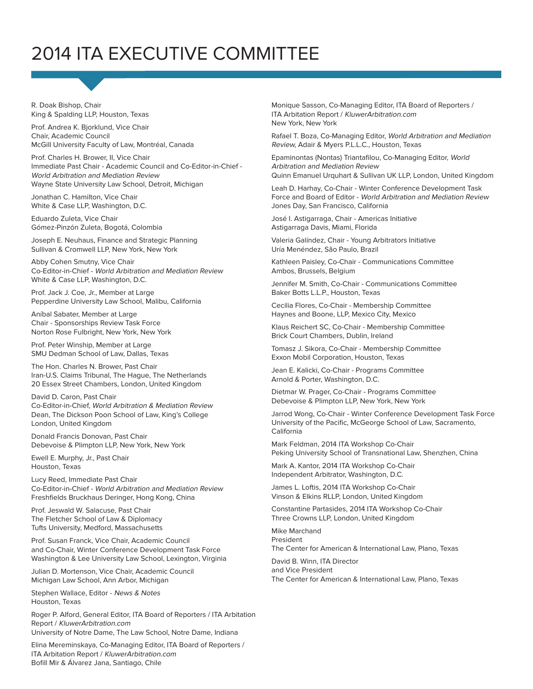# 2014 ITA EXECUTIVE COMMITTEE

R. Doak Bishop, Chair King & Spalding LLP, Houston, Texas

Prof. Andrea K. Bjorklund, Vice Chair Chair, Academic Council McGill University Faculty of Law, Montréal, Canada

Prof. Charles H. Brower, II, Vice Chair Immediate Past Chair - Academic Council and Co-Editor-in-Chief - World Arbitration and Mediation Review Wayne State University Law School, Detroit, Michigan

Jonathan C. Hamilton, Vice Chair White & Case LLP, Washington, D.C.

Eduardo Zuleta, Vice Chair Gómez-Pinzón Zuleta, Bogotá, Colombia

Joseph E. Neuhaus, Finance and Strategic Planning Sullivan & Cromwell LLP, New York, New York

Abby Cohen Smutny, Vice Chair Co-Editor-in-Chief - World Arbitration and Mediation Review White & Case LLP, Washington, D.C.

Prof. Jack J. Coe, Jr., Member at Large Pepperdine University Law School, Malibu, California

Aníbal Sabater, Member at Large Chair - Sponsorships Review Task Force Norton Rose Fulbright, New York, New York

Prof. Peter Winship, Member at Large SMU Dedman School of Law, Dallas, Texas

The Hon. Charles N. Brower, Past Chair Iran-U.S. Claims Tribunal, The Hague, The Netherlands 20 Essex Street Chambers, London, United Kingdom

David D. Caron, Past Chair Co-Editor-in-Chief, World Arbitration & Mediation Review Dean, The Dickson Poon School of Law, King's College London, United Kingdom

Donald Francis Donovan, Past Chair Debevoise & Plimpton LLP, New York, New York

Ewell E. Murphy, Jr., Past Chair Houston, Texas

Lucy Reed, Immediate Past Chair Co-Editor-in-Chief - World Arbitration and Mediation Review Freshfields Bruckhaus Deringer, Hong Kong, China

Prof. Jeswald W. Salacuse, Past Chair The Fletcher School of Law & Diplomacy Tufts University, Medford, Massachusetts

Prof. Susan Franck, Vice Chair, Academic Council and Co-Chair, Winter Conference Development Task Force Washington & Lee University Law School, Lexington, Virginia

Julian D. Mortenson, Vice Chair, Academic Council Michigan Law School, Ann Arbor, Michigan

Stephen Wallace, Editor - News & Notes Houston, Texas

Roger P. Alford, General Editor, ITA Board of Reporters / ITA Arbitation Report / KluwerArbitration.com University of Notre Dame, The Law School, Notre Dame, Indiana

Elina Mereminskaya, Co-Managing Editor, ITA Board of Reporters / ITA Arbitation Report / KluwerArbitration.com Bofill Mir & Álvarez Jana, Santiago, Chile

Monique Sasson, Co-Managing Editor, ITA Board of Reporters / ITA Arbitation Report / KluwerArbitration.com New York, New York

Rafael T. Boza, Co-Managing Editor, World Arbitration and Mediation Review, Adair & Myers P.L.L.C., Houston, Texas

Epaminontas (Nontas) Triantafilou, Co-Managing Editor, World Arbitration and Mediation Review

Quinn Emanuel Urquhart & Sullivan UK LLP, London, United Kingdom

Leah D. Harhay, Co-Chair - Winter Conference Development Task Force and Board of Editor - World Arbitration and Mediation Review Jones Day, San Francisco, California

José I. Astigarraga, Chair - Americas Initiative Astigarraga Davis, Miami, Florida

Valeria Galíndez, Chair - Young Arbitrators Initiative Uría Menéndez, São Paulo, Brazil

Kathleen Paisley, Co-Chair - Communications Committee Ambos, Brussels, Belgium

Jennifer M. Smith, Co-Chair - Communications Committee Baker Botts L.L.P., Houston, Texas

Cecilia Flores, Co-Chair - Membership Committee Haynes and Boone, LLP, Mexico City, Mexico

Klaus Reichert SC, Co-Chair - Membership Committee Brick Court Chambers, Dublin, Ireland

Tomasz J. Sikora, Co-Chair - Membership Committee Exxon Mobil Corporation, Houston, Texas

Jean E. Kalicki, Co-Chair - Programs Committee Arnold & Porter, Washington, D.C.

Dietmar W. Prager, Co-Chair - Programs Committee Debevoise & Plimpton LLP, New York, New York

Jarrod Wong, Co-Chair - Winter Conference Development Task Force University of the Pacific, McGeorge School of Law, Sacramento, California

Mark Feldman, 2014 ITA Workshop Co-Chair Peking University School of Transnational Law, Shenzhen, China

Mark A. Kantor, 2014 ITA Workshop Co-Chair Independent Arbitrator, Washington, D.C.

James L. Loftis, 2014 ITA Workshop Co-Chair Vinson & Elkins RLLP, London, United Kingdom

Constantine Partasides, 2014 ITA Workshop Co-Chair Three Crowns LLP, London, United Kingdom

Mike Marchand President The Center for American & International Law, Plano, Texas

David B. Winn, ITA Director and Vice President The Center for American & International Law, Plano, Texas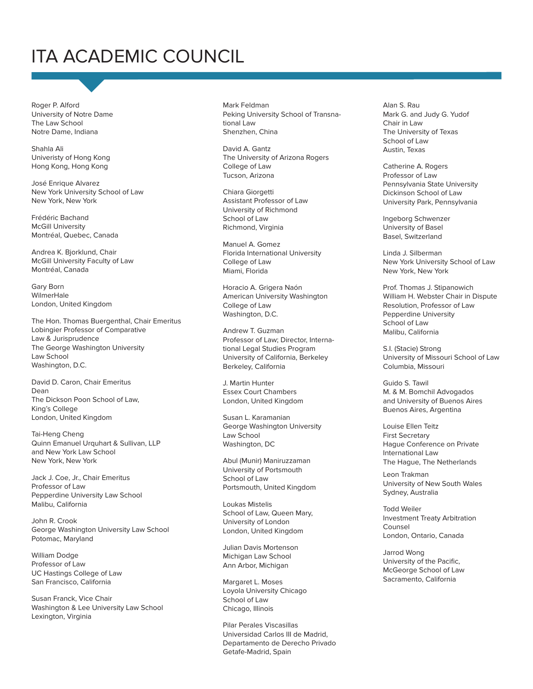# ITA ACADEMIC COUNCIL

Roger P. Alford University of Notre Dame The Law School Notre Dame, Indiana

Shahla Ali Univeristy of Hong Kong Hong Kong, Hong Kong

José Enrique Alvarez New York University School of Law New York, New York

Frédéric Bachand McGill University Montréal, Quebec, Canada

Andrea K. Bjorklund, Chair McGill University Faculty of Law Montréal, Canada

Gary Born WilmerHale London, United Kingdom

The Hon. Thomas Buergenthal, Chair Emeritus Lobingier Professor of Comparative Law & Jurisprudence The George Washington University Law School Washington, D.C.

David D. Caron, Chair Emeritus Dean The Dickson Poon School of Law, King's College London, United Kingdom

Tai-Heng Cheng Quinn Emanuel Urquhart & Sullivan, LLP and New York Law School New York, New York

Jack J. Coe, Jr., Chair Emeritus Professor of Law Pepperdine University Law School Malibu, California

John R. Crook George Washington University Law School Potomac, Maryland

William Dodge Professor of Law UC Hastings College of Law San Francisco, California

Susan Franck, Vice Chair Washington & Lee University Law School Lexington, Virginia

Mark Feldman Peking University School of Transnational Law Shenzhen, China

David A. Gantz The University of Arizona Rogers College of Law Tucson, Arizona

Chiara Giorgetti Assistant Professor of Law University of Richmond School of Law Richmond, Virginia

Manuel A. Gomez Florida International University College of Law Miami, Florida

Horacio A. Grigera Naón American University Washington College of Law Washington, D.C.

Andrew T. Guzman Professor of Law; Director, International Legal Studies Program University of California, Berkeley Berkeley, California

J. Martin Hunter Essex Court Chambers London, United Kingdom

Susan L. Karamanian George Washington University Law School Washington, DC

Abul (Munir) Maniruzzaman University of Portsmouth School of Law Portsmouth, United Kingdom

Loukas Mistelis School of Law, Queen Mary, University of London London, United Kingdom

Julian Davis Mortenson Michigan Law School Ann Arbor, Michigan

Margaret L. Moses Loyola University Chicago School of Law Chicago, Illinois

Pilar Perales Viscasillas Universidad Carlos III de Madrid, Departamento de Derecho Privado Getafe-Madrid, Spain

Alan S. Rau Mark G. and Judy G. Yudof Chair in Law The University of Texas School of Law Austin, Texas

Catherine A. Rogers Professor of Law Pennsylvania State University Dickinson School of Law University Park, Pennsylvania

Ingeborg Schwenzer University of Basel Basel, Switzerland

Linda J. Silberman New York University School of Law New York, New York

Prof. Thomas J. Stipanowich William H. Webster Chair in Dispute Resolution, Professor of Law Pepperdine University School of Law Malibu, California

S.I. (Stacie) Strong University of Missouri School of Law Columbia, Missouri

Guido S. Tawil M. & M. Bomchil Advogados and University of Buenos Aires Buenos Aires, Argentina

Louise Ellen Teitz First Secretary Hague Conference on Private International Law The Hague, The Netherlands

Leon Trakman University of New South Wales Sydney, Australia

Todd Weiler Investment Treaty Arbitration Counsel London, Ontario, Canada

Jarrod Wong University of the Pacific, McGeorge School of Law Sacramento, California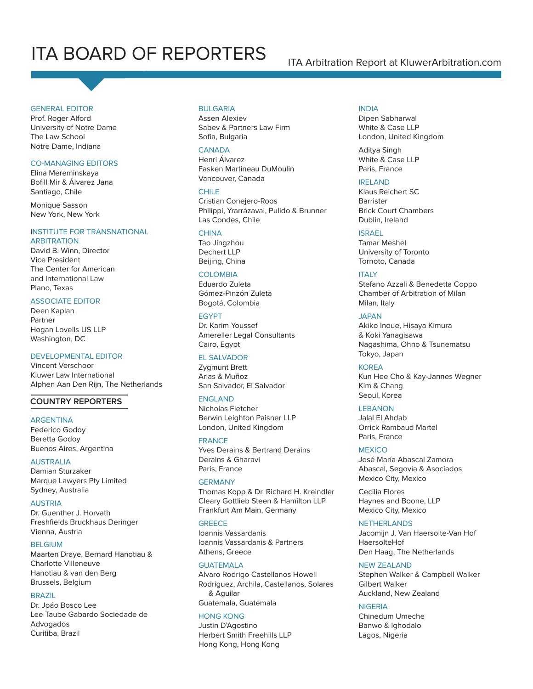# ITA BOARD OF REPORTERS **ITA Arbitration Report at KluwerArbitration.com**

#### GENERAL EDITOR

Prof. Roger Alford University of Notre Dame The Law School Notre Dame, Indiana

#### **CO-MANAGING EDITORS**

Elina Mereminskaya Bofill Mir & Álvarez Jana Santiago, Chile

Monique Sasson New York, New York

#### INSTITUTE FOR TRANSNATIONAL

ARBITRATION David B. Winn, Director Vice President The Center for American and International Law Plano, Texas

#### ASSOCIATE EDITOR

Deen Kaplan Partner Hogan Lovells US LLP Washington, DC

#### DEVELOPMENTAL EDITOR

Vincent Verschoor Kluwer Law International Alphen Aan Den Rijn, The Netherlands

#### **COUNTRY REPORTERS**

#### ARGENTINA

Federico Godoy Beretta Godoy Buenos Aires, Argentina

#### AUSTRALIA

Damian Sturzaker Marque Lawyers Pty Limited Sydney, Australia

#### AUSTRIA

Dr. Guenther J. Horvath Freshfields Bruckhaus Deringer Vienna, Austria

#### BELGIUM

Maarten Draye, Bernard Hanotiau & Charlotte Villeneuve Hanotiau & van den Berg Brussels, Belgium

#### BRAZIL

Dr. Joáo Bosco Lee Lee Taube Gabardo Sociedade de Advogados Curitiba, Brazil

#### **BULGARIA**

Assen Alexiev Sabev & Partners Law Firm Sofia, Bulgaria

#### **CANADA**

Henri Álvarez Fasken Martineau DuMoulin Vancouver, Canada

#### CHILE<sub></sub>

Cristian Conejero-Roos Philippi, Yrarrázaval, Pulido & Brunner Las Condes, Chile

#### **CHINA**

Tao Jingzhou Dechert LLP Beijing, China

#### **COLOMBIA**

Eduardo Zuleta Gómez-Pinzón Zuleta Bogotá, Colombia

#### EGYPT

Dr. Karim Youssef Amereller Legal Consultants Cairo, Egypt

#### EL SALVADOR

Zygmunt Brett Arias & Muñoz San Salvador, El Salvador

#### ENGLAND

Nicholas Fletcher Berwin Leighton Paisner LLP London, United Kingdom

#### FRANCE

Yves Derains & Bertrand Derains Derains & Gharavi Paris, France

#### **GERMANY**

Thomas Kopp & Dr. Richard H. Kreindler Cleary Gottlieb Steen & Hamilton LLP Frankfurt Am Main, Germany

#### **GREECE**

Ioannis Vassardanis Ioannis Vassardanis & Partners Athens, Greece

#### **GUATEMALA**

Alvaro Rodrigo Castellanos Howell Rodriguez, Archila, Castellanos, Solares & Aguilar Guatemala, Guatemala

### HONG KONG

Justin D'Agostino Herbert Smith Freehills LLP Hong Kong, Hong Kong

#### INDIA

Dipen Sabharwal White & Case LLP London, United Kingdom

Aditya Singh White & Case LLP Paris, France

#### IRELAND

Klaus Reichert SC **Barrister** Brick Court Chambers Dublin, Ireland

#### ISRAEL

Tamar Meshel University of Toronto Tornoto, Canada

#### **ITALY**

Stefano Azzali & Benedetta Coppo Chamber of Arbitration of Milan Milan, Italy

#### JAPAN

Akiko Inoue, Hisaya Kimura & Koki Yanagisawa Nagashima, Ohno & Tsunematsu Tokyo, Japan

#### KOREA

Kun Hee Cho & Kay-Jannes Wegner Kim & Chang Seoul, Korea

#### LEBANON

Jalal El Ahdab Orrick Rambaud Martel Paris, France

#### **MEXICO**

José María Abascal Zamora Abascal, Segovia & Asociados Mexico City, Mexico

Cecilia Flores Haynes and Boone, LLP Mexico City, Mexico

#### **NETHERLANDS**

Jacomijn J. Van Haersolte-Van Hof HaersolteHof Den Haag, The Netherlands

#### NEW ZEALAND

Stephen Walker & Campbell Walker Gilbert Walker Auckland, New Zealand

#### NIGERIA

Chinedum Umeche Banwo & Ighodalo Lagos, Nigeria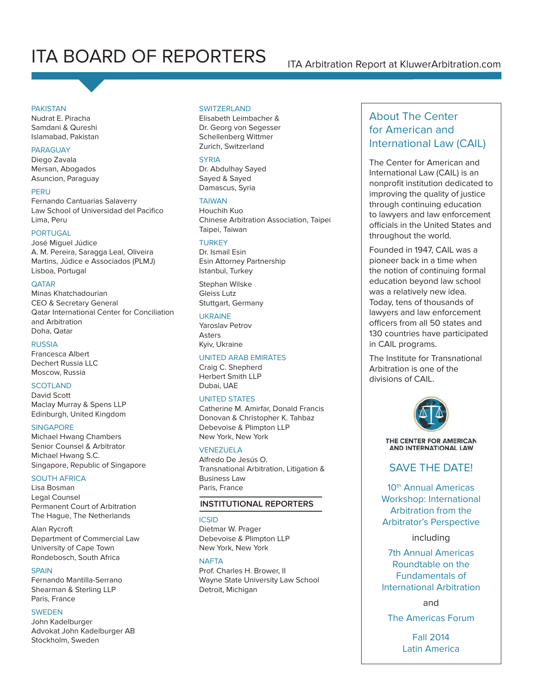# ITA BOARD OF REPORTERS ITA Arbitration Report at KluwerArbitration.com

#### **PAKISTAN**

Nudrat E. Piracha Samdani & Qureshi Islamabad, Pakistan

#### PARAGUAY

Diego Zavala Mersan, Abogados Asuncion, Paraguay

#### **PERU**

Fernando Cantuarias Salaverry Law School of Universidad del Pacìfico Lima, Peru

#### PORTUGAL

José Miguel Júdice A. M. Pereira, Saragga Leal, Oliveira Martins, Júdice e Associados (PLMJ) Lisboa, Portugal

#### **QATAR**

Minas Khatchadourian CEO & Secretary General Qatar International Center for Conciliation and Arbitration Doha, Qatar

#### RUSSIA

Francesca Albert Dechert Russia LLC Moscow, Russia

#### **SCOTLAND**

David Scott Maclay Murray & Spens LLP Edinburgh, United Kingdom

#### **SINGAPORE**

Michael Hwang Chambers Senior Counsel & Arbitrator Michael Hwang S.C. Singapore, Republic of Singapore

#### SOUTH AFRICA

Lisa Bosman Legal Counsel Permanent Court of Arbitration The Hague, The Netherlands

Alan Rycroft Department of Commercial Law University of Cape Town Rondebosch, South Africa

#### **SPAIN**

Fernando Mantilla-Serrano Shearman & Sterling LLP Paris, France

#### SWEDEN

John Kadelburger Advokat John Kadelburger AB Stockholm, Sweden

#### SWITZERI AND

Elisabeth Leimbacher & Dr. Georg von Segesser Schellenberg Wittmer Zurich, Switzerland

#### **SYRIA**

Dr. Abdulhay Sayed Sayed & Sayed Damascus, Syria

#### **TAIWAN**

Houchih Kuo Chinese Arbitration Association, Taipei Taipei, Taiwan

### **TURKEY**

Dr. Ismail Esin Esin Attorney Partnership Istanbul, Turkey

Stephan Wilske Gleiss Lutz Stuttgart, Germany

#### UKRAINE

Yaroslav Petrov Asters Kyiv, Ukraine

#### UNITED ARAB EMIRATES

Craig C. Shepherd Herbert Smith LLP Dubai, UAE

#### UNITED STATES

Catherine M. Amirfar, Donald Francis Donovan & Christopher K. Tahbaz Debevoise & Plimpton LLP New York, New York

#### VENEZUELA

Alfredo De Jesús O. Transnational Arbitration, Litigation & Business Law Paris, France

#### **INSTITUTIONAL REPORTERS**

#### ICSID

Dietmar W. Prager Debevoise & Plimpton LLP New York, New York

#### **NAFTA**

Prof. Charles H. Brower, II Wayne State University Law School Detroit, Michigan

### About The Center for American and International Law (CAIL)

The Center for American and International Law (CAIL) is an nonprofit institution dedicated to improving the quality of justice through continuing education to lawyers and law enforcement officials in the United States and throughout the world.

Founded in 1947, CAIL was a pioneer back in a time when the notion of continuing formal education beyond law school was a relatively new idea. Today, tens of thousands of lawyers and law enforcement officers from all 50 states and 130 countries have participated in CAIL programs.

The Institute for Transnational Arbitration is one of the divisions of CAIL.



THE CENTER FOR AMERICAN AND INTERNATIONAL LAW

### SAVE THE DATE!

10<sup>th</sup> Annual Americas Workshop: International Arbitration from the Arbitrator's Perspective

#### including

7th Annual Americas Roundtable on the Fundamentals of International Arbitration

and

The Americas Forum

Fall 2014 Latin America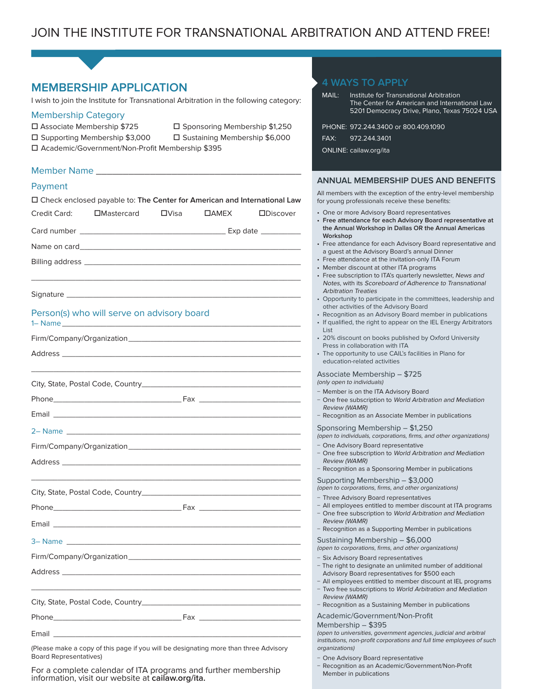| <b>MEMBERSHIP APPLICATION</b><br>I wish to join the Institute for Transnational Arbitration in the following category:<br><b>Membership Category</b><br>□ Associate Membership \$725<br>□ Sponsoring Membership \$1,250<br>□ Supporting Membership \$3,000<br>□ Sustaining Membership \$6,000<br>□ Academic/Government/Non-Profit Membership \$395 | <b>4 WAYS TO APPLY</b><br>MAIL:<br>Institute for Transnational Arbitration<br>The Center for American and International Law<br>5201 Democracy Drive, Plano, Texas 75024 USA<br>PHONE: 972.244.3400 or 800.409.1090<br>FAX:<br>972.244.3401<br>ONLINE: cailaw.org/ita                                      |
|----------------------------------------------------------------------------------------------------------------------------------------------------------------------------------------------------------------------------------------------------------------------------------------------------------------------------------------------------|-----------------------------------------------------------------------------------------------------------------------------------------------------------------------------------------------------------------------------------------------------------------------------------------------------------|
| Payment                                                                                                                                                                                                                                                                                                                                            | <b>ANNUAL MEMBERSHIP DUES AND BENEFITS</b>                                                                                                                                                                                                                                                                |
| □ Check enclosed payable to: The Center for American and International Law                                                                                                                                                                                                                                                                         | All members with the exception of the entry-level membership<br>for young professionals receive these benefits:                                                                                                                                                                                           |
| Credit Card:<br>$\Box$ Mastercard<br>$\square$ Visa<br>$\Box$ AMEX<br><b>ODiscover</b>                                                                                                                                                                                                                                                             | • One or more Advisory Board representatives<br>• Free attendance for each Advisory Board representative at                                                                                                                                                                                               |
|                                                                                                                                                                                                                                                                                                                                                    | the Annual Workshop in Dallas OR the Annual Americas<br>Workshop                                                                                                                                                                                                                                          |
|                                                                                                                                                                                                                                                                                                                                                    | • Free attendance for each Advisory Board representative and                                                                                                                                                                                                                                              |
|                                                                                                                                                                                                                                                                                                                                                    | a guest at the Advisory Board's annual Dinner<br>• Free attendance at the invitation-only ITA Forum<br>• Member discount at other ITA programs<br>• Free subscription to ITA's quarterly newsletter, News and<br>Notes, with its Scoreboard of Adherence to Transnational                                 |
|                                                                                                                                                                                                                                                                                                                                                    | <b>Arbitration Treaties</b><br>• Opportunity to participate in the committees, leadership and<br>other activities of the Advisory Board                                                                                                                                                                   |
| Person(s) who will serve on advisory board                                                                                                                                                                                                                                                                                                         | • Recognition as an Advisory Board member in publications<br>• If qualified, the right to appear on the IEL Energy Arbitrators<br>List                                                                                                                                                                    |
|                                                                                                                                                                                                                                                                                                                                                    | • 20% discount on books published by Oxford University<br>Press in collaboration with ITA                                                                                                                                                                                                                 |
|                                                                                                                                                                                                                                                                                                                                                    | • The opportunity to use CAIL's facilities in Plano for<br>education-related activities                                                                                                                                                                                                                   |
|                                                                                                                                                                                                                                                                                                                                                    | Associate Membership - \$725<br>(only open to individuals)                                                                                                                                                                                                                                                |
|                                                                                                                                                                                                                                                                                                                                                    | - Member is on the ITA Advisory Board<br>- One free subscription to World Arbitration and Mediation<br><b>Review (WAMR)</b><br>- Recognition as an Associate Member in publications                                                                                                                       |
|                                                                                                                                                                                                                                                                                                                                                    | Sponsoring Membership - \$1,250                                                                                                                                                                                                                                                                           |
|                                                                                                                                                                                                                                                                                                                                                    | (open to individuals, corporations, firms, and other organizations)<br>- One Advisory Board representative                                                                                                                                                                                                |
| Address and the contract of the contract of the contract of the contract of the contract of the contract of the                                                                                                                                                                                                                                    | - One free subscription to World Arbitration and Mediation<br><b>Review (WAMR)</b><br>- Recognition as a Sponsoring Member in publications                                                                                                                                                                |
|                                                                                                                                                                                                                                                                                                                                                    | Supporting Membership - \$3,000<br>(open to corporations, firms, and other organizations)                                                                                                                                                                                                                 |
|                                                                                                                                                                                                                                                                                                                                                    | - Three Advisory Board representatives                                                                                                                                                                                                                                                                    |
|                                                                                                                                                                                                                                                                                                                                                    | - All employees entitled to member discount at ITA programs<br>- One free subscription to World Arbitration and Mediation<br><b>Review (WAMR)</b>                                                                                                                                                         |
|                                                                                                                                                                                                                                                                                                                                                    | - Recognition as a Supporting Member in publications<br>Sustaining Membership - \$6,000                                                                                                                                                                                                                   |
|                                                                                                                                                                                                                                                                                                                                                    | (open to corporations, firms, and other organizations)                                                                                                                                                                                                                                                    |
| <u> 1989 - Johann Barn, amerikan berkema dan berkema dalam berkema dalam berkema dalam berkema dalam berkema dala</u>                                                                                                                                                                                                                              | - Six Advisory Board representatives<br>- The right to designate an unlimited number of additional<br>Advisory Board representatives for \$500 each<br>- All employees entitled to member discount at IEL programs<br>- Two free subscriptions to World Arbitration and Mediation<br><b>Review (WAMR)</b> |
|                                                                                                                                                                                                                                                                                                                                                    | - Recognition as a Sustaining Member in publications<br>Academic/Government/Non-Profit                                                                                                                                                                                                                    |
|                                                                                                                                                                                                                                                                                                                                                    | Membership - \$395                                                                                                                                                                                                                                                                                        |
| (Please make a copy of this page if you will be designating more than three Advisory                                                                                                                                                                                                                                                               | (open to universities, government agencies, judicial and arbitral<br>institutions, non-profit corporations and full time employees of such<br>organizations)                                                                                                                                              |
| <b>Board Representatives)</b>                                                                                                                                                                                                                                                                                                                      | - One Advisory Board representative                                                                                                                                                                                                                                                                       |

− Recognition as an Academic/Government/Non-Profi t

Member in publications

For a complete calendar of ITA programs and further membership information, visit our website at **cailaw.org/ita.**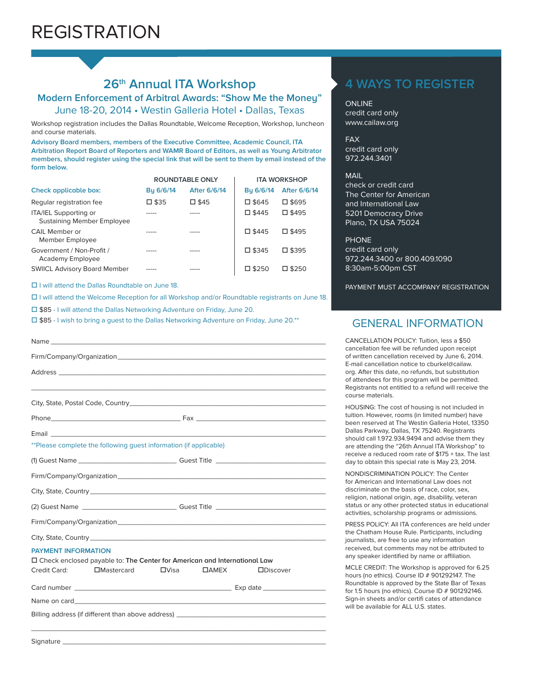### **26th Annual ITA Workshop**

**Modern Enforcement of Arbitral Awards: "Show Me the Money"**

June 18-20, 2014 • Westin Galleria Hotel • Dallas, Texas

Workshop registration includes the Dallas Roundtable, Welcome Reception, Workshop, luncheon and course materials.

**Advisory Board members, members of the Executive Committee, Academic Council, ITA Arbitration Report Board of Reporters and WAMR Board of Editors, as well as Young Arbitrator members, should register using the special link that will be sent to them by email instead of the form below.**

|                                                            | <b>ROUNDTABLE ONLY</b> |              | <b>ITA WORKSHOP</b> |                 |
|------------------------------------------------------------|------------------------|--------------|---------------------|-----------------|
| Check applicable box:                                      | Bu 6/6/14              | After 6/6/14 | Bu 6/6/14           | After 6/6/14    |
| Regular registration fee                                   | □ \$35                 | □ \$45       | □ \$645             | □ \$695         |
| ITA/IEL Supporting or<br><b>Sustaining Member Employee</b> |                        |              | □ \$445             | □ \$495         |
| CAIL Member or<br>Member Employee                          |                        | -----        | □ \$445             | $\square$ \$495 |
| Government / Non-Profit /<br>Academy Employee              |                        |              | □ \$345             | □ \$395         |
| <b>SWIICL Advisory Board Member</b>                        | -----                  |              | $\square$ \$250     | $\square$ \$250 |

 $\Box$  I will attend the Dallas Roundtable on June 18.

I will attend the Welcome Reception for all Workshop and/or Roundtable registrants on June 18.

□ \$85 - I will attend the Dallas Networking Adventure on Friday, June 20.

□ \$85 - I wish to bring a guest to the Dallas Networking Adventure on Friday, June 20.\*\*

| **Please complete the following guest information (if applicable)                |                                                |  |  |  |
|----------------------------------------------------------------------------------|------------------------------------------------|--|--|--|
|                                                                                  |                                                |  |  |  |
|                                                                                  |                                                |  |  |  |
|                                                                                  |                                                |  |  |  |
|                                                                                  |                                                |  |  |  |
|                                                                                  |                                                |  |  |  |
|                                                                                  |                                                |  |  |  |
| <b>PAYMENT INFORMATION</b>                                                       |                                                |  |  |  |
| $\Box$ Check enclosed payable to: The Center for American and International Law  |                                                |  |  |  |
| Credit Card:<br>□Mastercard                                                      | $\Box$ Visa<br>$\Box$ AMEX<br><b>ODiscover</b> |  |  |  |
|                                                                                  |                                                |  |  |  |
|                                                                                  |                                                |  |  |  |
| Billing address (if different than above address) ______________________________ |                                                |  |  |  |

\_\_\_\_\_\_\_\_\_\_\_\_\_\_\_\_\_\_\_\_\_\_\_\_\_\_\_\_\_\_\_\_\_\_\_\_\_\_\_\_\_\_\_\_\_\_\_\_\_\_\_\_\_\_\_\_\_\_\_\_\_\_\_\_\_\_\_\_\_\_\_\_\_\_\_

### **4 WAYS TO REGISTER**

ONLINE credit card only www.cailaw.org

FAX credit card only 972.244.3401

#### MAIL

check or credit card The Center for American and International Law 5201 Democracy Drive Plano, TX USA 75024

PHONE credit card only 972.244.3400 or 800.409.1090 8:30am-5:00pm CST

PAYMENT MUST ACCOMPANY REGISTRATION

### GENERAL INFORMATION

CANCELLATION POLICY: Tuition, less a \$50 cancellation fee will be refunded upon receipt of written cancellation received by June 6, 2014. E-mail cancellation notice to cburkel@cailaw. org. After this date, no refunds, but substitution of attendees for this program will be permitted. Registrants not entitled to a refund will receive the course materials.

HOUSING: The cost of housing is not included in tuition. However, rooms (in limited number) have been reserved at The Westin Galleria Hotel, 13350 Dallas Parkway, Dallas, TX 75240. Registrants should call 1.972.934.9494 and advise them they are attending the "26th Annual ITA Workshop" to receive a reduced room rate of \$175 + tax. The last day to obtain this special rate is May 23, 2014.

NONDISCRIMINATION POLICY: The Center for American and International Law does not discriminate on the basis of race, color, sex, religion, national origin, age, disability, veteran status or any other protected status in educational activities, scholarship programs or admissions.

PRESS POLICY: All ITA conferences are held under the Chatham House Rule. Participants, including journalists, are free to use any information received, but comments may not be attributed to any speaker identified by name or affiliation.

MCLE CREDIT: The Workshop is approved for 6.25 hours (no ethics). Course ID # 901292147. The Roundtable is approved by the State Bar of Texas for 1.5 hours (no ethics). Course ID # 901292146. Sign-in sheets and/or certifi cates of attendance will be available for ALL U.S. states.

Signature \_\_\_\_\_\_\_\_\_\_\_\_\_\_\_\_\_\_\_\_\_\_\_\_\_\_\_\_\_\_\_\_\_\_\_\_\_\_\_\_\_\_\_\_\_\_\_\_\_\_\_\_\_\_\_\_\_\_\_\_\_\_\_\_\_\_\_